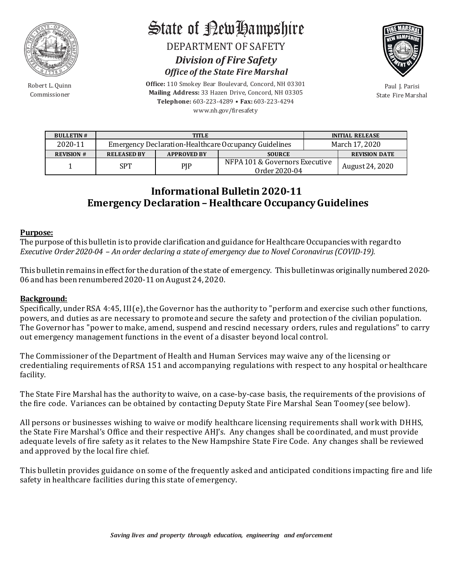

Robert L. Quinn Commissioner

State of RewHampshire

DEPARTMENT OF SAFETY *Division of Fire Safety Office of the State Fire Marshal*



Paul J. Parisi State Fire Marshal

**BULLETIN # TITLE INITIAL RELEASE** 2020-11 Emergency Declaration-Healthcare Occupancy Guidelines March 17, 2020<br>
REVISION # RELEASED BY APPROVED BY SOURCE REVISION D  $REVISION DATATE$ 1 SPT PIP NFPA 101 & Governors Executive Order 2020-04 August 24, 2020

## **Informational Bulletin 2020-11 Emergency Declaration – Healthcare Occupancy Guidelines**

#### **Purpose:**

The purpose of this bulletin is to provide clarification and guidance for Healthcare Occupancies with regard to *Executive Order 2020-04 – An order declaring a state of emergency due to Novel Coronavirus (COVID-19).* 

This bulletin remains in effect for the duration of the state of emergency. This bulletin was originallynumbered 2020- 06 and has been renumbered 2020-11 on August 24, 2020.

#### **Background:**

Specifically, under RSA 4:45, III(e), the Governor has the authority to "perform and exercise such other functions, powers, and duties as are necessary to promote and secure the safety and protection of the civilian population. The Governor has "power to make, amend, suspend and rescind necessary orders, rules and regulations" to carry out emergency management functions in the event of a disaster beyond local control.

The Commissioner of the Department of Health and Human Services may waive any of the licensing or credentialing requirements of RSA 151 and accompanying regulations with respect to any hospital or healthcare facility.

The State Fire Marshal has the authority to waive, on a case-by-case basis, the requirements of the provisions of the fire code. Variances can be obtained by contacting Deputy State Fire Marshal Sean Toomey (see below).

All persons or businesses wishing to waive or modify healthcare licensing requirements shall work with DHHS, the State Fire Marshal's Office and their respective AHJ's. Any changes shall be coordinated, and must provide adequate levels of fire safety as it relates to the New Hampshire State Fire Code. Any changes shall be reviewed and approved by the local fire chief.

This bulletin provides guidance on some of the frequently asked and anticipated conditions impacting fire and life safety in healthcare facilities during this state of emergency.